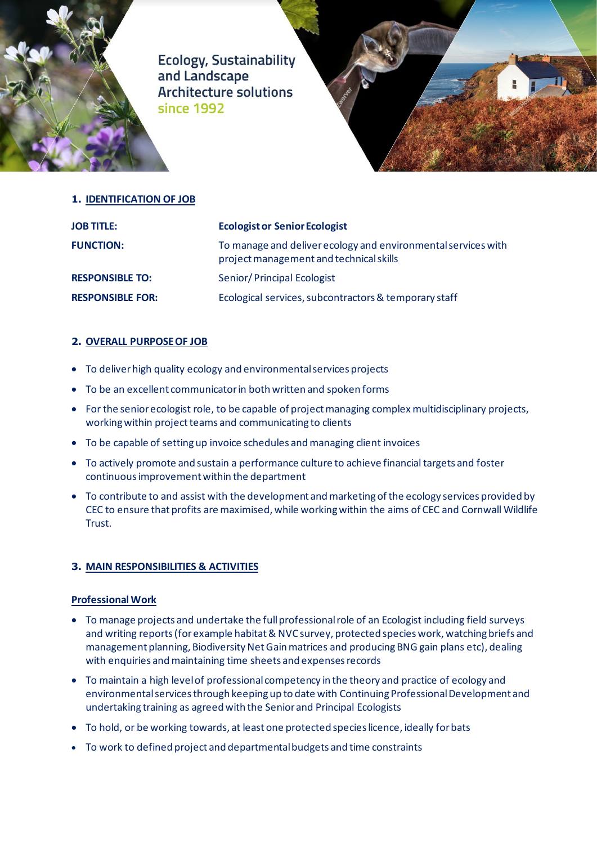

**Ecology, Sustainability** and Landscape **Architecture solutions** since 1992



# **1. IDENTIFICATION OF JOB**

| <b>JOB TITLE:</b>       | <b>Ecologist or Senior Ecologist</b>                                                                     |
|-------------------------|----------------------------------------------------------------------------------------------------------|
| <b>FUNCTION:</b>        | To manage and deliver ecology and environmental services with<br>project management and technical skills |
| <b>RESPONSIBLE TO:</b>  | Senior/Principal Ecologist                                                                               |
| <b>RESPONSIBLE FOR:</b> | Ecological services, subcontractors & temporary staff                                                    |

## **2. OVERALL PURPOSE OF JOB**

- To deliver high quality ecology and environmental services projects
- To be an excellent communicatorin both written and spoken forms
- For the senior ecologist role, to be capable of project managing complex multidisciplinary projects, working within project teams and communicating to clients
- To be capable of setting up invoice schedules and managing client invoices
- To actively promote and sustain a performance culture to achieve financial targets and foster continuous improvement within the department
- To contribute to and assist with the development and marketing of the ecology services provided by CEC to ensure that profits are maximised, while working within the aims of CEC and Cornwall Wildlife Trust.

### **3. MAIN RESPONSIBILITIES & ACTIVITIES**

### **Professional Work**

- To manage projects and undertake the full professional role of an Ecologist including field surveys and writing reports (for example habitat & NVC survey, protected specieswork, watching briefs and management planning, Biodiversity Net Gain matrices and producing BNG gain plans etc), dealing with enquiries and maintaining time sheets and expenses records
- To maintain a high level of professional competency in the theory and practice of ecology and environmental services through keeping up to date with Continuing Professional Development and undertaking training as agreed with the Senior and Principal Ecologists
- To hold, or be working towards, at least one protected species licence, ideally for bats
- To work to defined project and departmental budgets and time constraints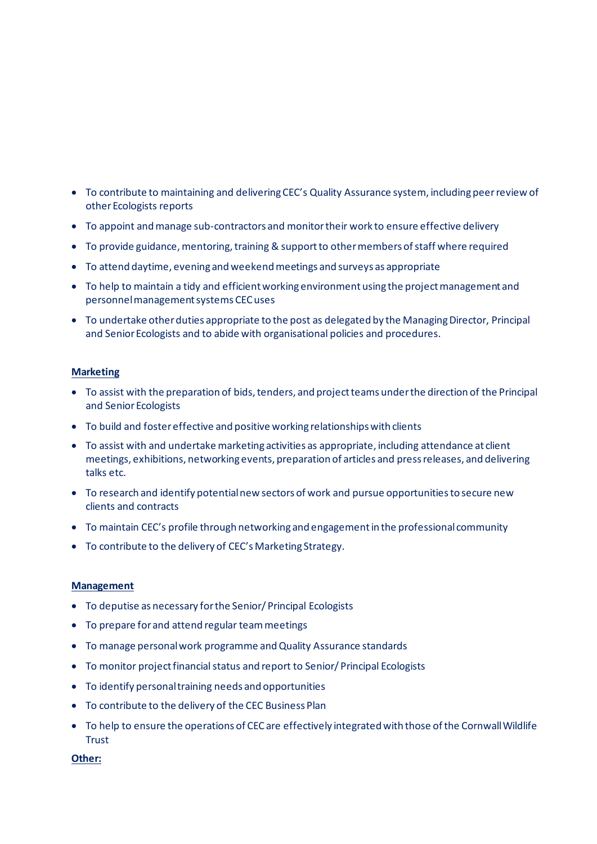- To contribute to maintaining and deliveringCEC's Quality Assurance system, including peer review of other Ecologists reports
- To appoint and manage sub-contractors and monitor their work to ensure effective delivery
- To provide guidance, mentoring, training & support to other members of staff where required
- To attend daytime, evening and weekend meetings and surveys as appropriate
- To help to maintain a tidy and efficient working environment using the project management and personnel management systems CEC uses
- To undertake other duties appropriate to the post as delegated by the Managing Director, Principal and Senior Ecologists and to abide with organisational policies and procedures.

## **Marketing**

- To assist with the preparation of bids, tenders, and project teams under the direction of the Principal and Senior Ecologists
- To build and fostereffective and positive working relationships with clients
- To assist with and undertake marketing activities as appropriate, including attendance at client meetings, exhibitions, networking events, preparation of articles and press releases, and delivering talks etc.
- To research and identify potential new sectors of work and pursue opportunities to secure new clients and contracts
- To maintain CEC's profile through networking and engagement in the professional community
- To contribute to the delivery of CEC's Marketing Strategy.

### **Management**

- To deputise as necessary for the Senior/ Principal Ecologists
- To prepare for and attend regular team meetings
- To manage personalwork programme and Quality Assurance standards
- To monitor project financial status and report to Senior/ Principal Ecologists
- To identify personaltraining needs and opportunities
- To contribute to the delivery of the CEC Business Plan
- To help to ensure the operations of CECare effectively integrated with those of the Cornwall Wildlife Trust

**Other:**